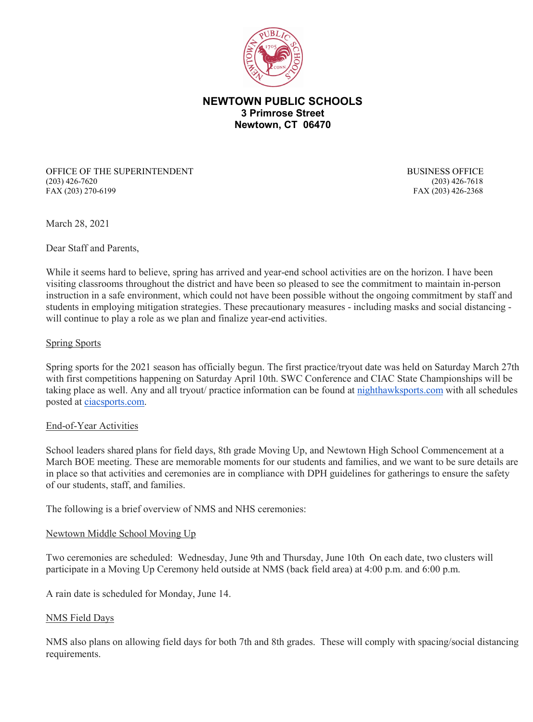

# **NEWTOWN PUBLIC SCHOOLS 3 Primrose Street Newtown, CT 06470**

OFFICE OF THE SUPERINTENDENT BUSINESS OFFICE (203) 426-7620 (203) 426-7618 FAX (203) 270-6199 FAX (203) 426-2368

March 28, 2021

Dear Staff and Parents,

While it seems hard to believe, spring has arrived and year-end school activities are on the horizon. I have been visiting classrooms throughout the district and have been so pleased to see the commitment to maintain in-person instruction in a safe environment, which could not have been possible without the ongoing commitment by staff and students in employing mitigation strategies. These precautionary measures - including masks and social distancing will continue to play a role as we plan and finalize year-end activities.

#### Spring Sports

Spring sports for the 2021 season has officially begun. The first practice/tryout date was held on Saturday March 27th with first competitions happening on Saturday April 10th. SWC Conference and CIAC State Championships will be taking place as well. Any and all tryout/ practice information can be found at [nighthawksports.com](http://track.spe.schoolmessenger.com/f/a/dwgxITsBTkwcGHUuyjCH4Q%7E%7E/AAAAAQA%7E/RgRiQft5P0THaHR0cDovL3RyYWNrLnNwZS5zY2hvb2xtZXNzZW5nZXIuY29tL2YvYS95STNLeHpPdE4zdjFmdUU2dkc5Skdnfn4vQUFBQUFRQX4vUmdSaVFmZ21QMFFiYUhSMGNEb3ZMMjVwWjJoMGFHRjNhM053YjNKMGN5NWpiMjB2VndkelkyaHZiMnh0UWdwZ1dLYkVZR0NoTXE1WFVodHliMlJ5YVdkMVpXeEFibVYzZEc5M2JpNXJNVEl1WTNRdWRYTllCQUFBQUFFflcHc2Nob29sbUIKYFj5x2BgoTJjK1IZbW9ycmlzakBuZXd0b3duLmsxMi5jdC51c1gEAAAAAQ%7E%7E) with all schedules posted at [ciacsports.com.](http://track.spe.schoolmessenger.com/f/a/D1rVkvkvagBV3X_UcdMUrA%7E%7E/AAAAAQA%7E/RgRiQft5P0S_aHR0cDovL3RyYWNrLnNwZS5zY2hvb2xtZXNzZW5nZXIuY29tL2YvYS9NaTlub3Y5U0tkMnRWWTNnOU5KSXNnfn4vQUFBQUFRQX4vUmdSaVFmZ21QMFFXYUhSMGNEb3ZMMk5wWVdOemNHOXlkSE11WTI5dEwxY0hjMk5vYjI5c2JVSUtZRmlteEdCZ29US3VWMUliY205a2NtbG5kV1ZzUUc1bGQzUnZkMjR1YXpFeUxtTjBMblZ6V0FRQUFBQUJXB3NjaG9vbG1CCmBY-cdgYKEyYytSGW1vcnJpc2pAbmV3dG93bi5rMTIuY3QudXNYBAAAAAE%7E)

### End-of-Year Activities

School leaders shared plans for field days, 8th grade Moving Up, and Newtown High School Commencement at a March BOE meeting. These are memorable moments for our students and families, and we want to be sure details are in place so that activities and ceremonies are in compliance with DPH guidelines for gatherings to ensure the safety of our students, staff, and families.

The following is a brief overview of NMS and NHS ceremonies:

### Newtown Middle School Moving Up

Two ceremonies are scheduled: Wednesday, June 9th and Thursday, June 10th On each date, two clusters will participate in a Moving Up Ceremony held outside at NMS (back field area) at 4:00 p.m. and 6:00 p.m.

A rain date is scheduled for Monday, June 14.

#### NMS Field Days

NMS also plans on allowing field days for both 7th and 8th grades. These will comply with spacing/social distancing requirements.